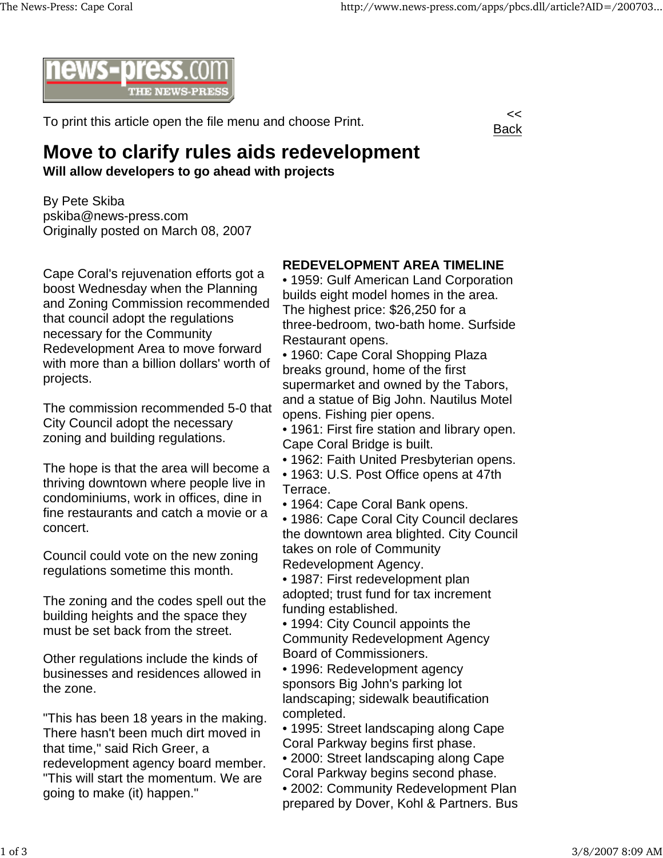

To print this article open the file menu and choose Print.



## **Move to clarify rules aids redevelopment**

**Will allow developers to go ahead with projects**

By Pete Skiba pskiba@news-press.com Originally posted on March 08, 2007

Cape Coral's rejuvenation efforts got a boost Wednesday when the Planning and Zoning Commission recommended that council adopt the regulations necessary for the Community Redevelopment Area to move forward with more than a billion dollars' worth of projects.

The commission recommended 5-0 that City Council adopt the necessary zoning and building regulations.

The hope is that the area will become a thriving downtown where people live in condominiums, work in offices, dine in fine restaurants and catch a movie or a concert.

Council could vote on the new zoning regulations sometime this month.

The zoning and the codes spell out the building heights and the space they must be set back from the street.

Other regulations include the kinds of businesses and residences allowed in the zone.

"This has been 18 years in the making. There hasn't been much dirt moved in that time," said Rich Greer, a redevelopment agency board member. "This will start the momentum. We are going to make (it) happen."

## **REDEVELOPMENT AREA TIMELINE**

• 1959: Gulf American Land Corporation builds eight model homes in the area. The highest price: \$26,250 for a three-bedroom, two-bath home. Surfside Restaurant opens.

• 1960: Cape Coral Shopping Plaza breaks ground, home of the first supermarket and owned by the Tabors, and a statue of Big John. Nautilus Motel opens. Fishing pier opens.

• 1961: First fire station and library open. Cape Coral Bridge is built.

- 1962: Faith United Presbyterian opens.
- 1963: U.S. Post Office opens at 47th Terrace.
- 1964: Cape Coral Bank opens.

• 1986: Cape Coral City Council declares the downtown area blighted. City Council takes on role of Community Redevelopment Agency.

• 1987: First redevelopment plan adopted; trust fund for tax increment funding established.

• 1994: City Council appoints the Community Redevelopment Agency Board of Commissioners.

• 1996: Redevelopment agency sponsors Big John's parking lot landscaping; sidewalk beautification completed.

• 1995: Street landscaping along Cape Coral Parkway begins first phase.

• 2000: Street landscaping along Cape Coral Parkway begins second phase.

• 2002: Community Redevelopment Plan prepared by Dover, Kohl & Partners. Bus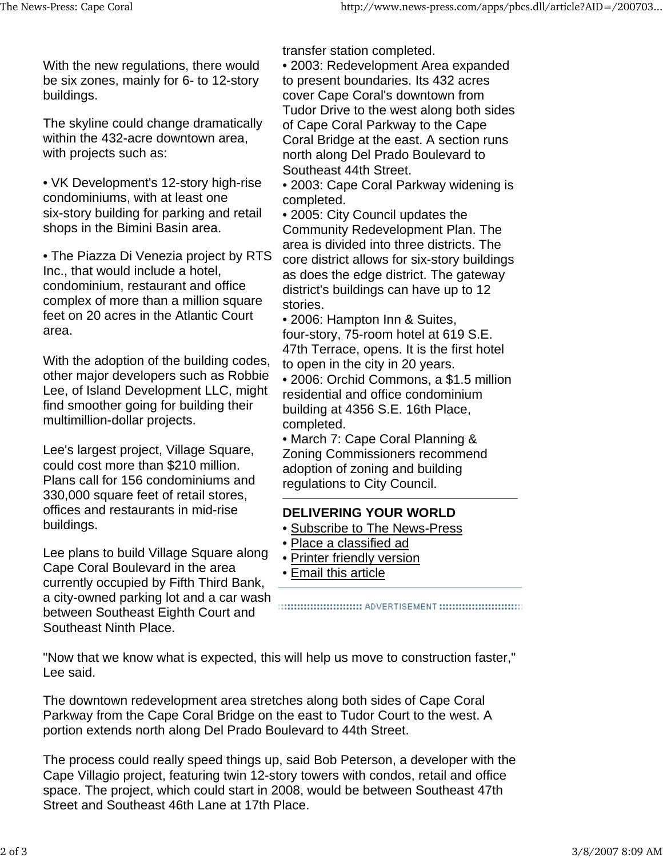With the new regulations, there would be six zones, mainly for 6- to 12-story buildings.

The skyline could change dramatically within the 432-acre downtown area, with projects such as:

• VK Development's 12-story high-rise condominiums, with at least one six-story building for parking and retail shops in the Bimini Basin area.

• The Piazza Di Venezia project by RTS Inc., that would include a hotel, condominium, restaurant and office complex of more than a million square feet on 20 acres in the Atlantic Court area.

With the adoption of the building codes, other major developers such as Robbie Lee, of Island Development LLC, might find smoother going for building their multimillion-dollar projects.

Lee's largest project, Village Square, could cost more than \$210 million. Plans call for 156 condominiums and 330,000 square feet of retail stores, offices and restaurants in mid-rise buildings.

Lee plans to build Village Square along Cape Coral Boulevard in the area currently occupied by Fifth Third Bank, a city-owned parking lot and a car wash between Southeast Eighth Court and Southeast Ninth Place.

transfer station completed.

- 2003: Redevelopment Area expanded to present boundaries. Its 432 acres cover Cape Coral's downtown from Tudor Drive to the west along both sides of Cape Coral Parkway to the Cape Coral Bridge at the east. A section runs north along Del Prado Boulevard to Southeast 44th Street.
- 2003: Cape Coral Parkway widening is completed.

• 2005: City Council updates the Community Redevelopment Plan. The area is divided into three districts. The core district allows for six-story buildings as does the edge district. The gateway district's buildings can have up to 12 stories.

• 2006: Hampton Inn & Suites, four-story, 75-room hotel at 619 S.E. 47th Terrace, opens. It is the first hotel to open in the city in 20 years.

• 2006: Orchid Commons, a \$1.5 million residential and office condominium building at 4356 S.E. 16th Place, completed.

• March 7: Cape Coral Planning & Zoning Commissioners recommend adoption of zoning and building regulations to City Council.

## **DELIVERING YOUR WORLD**

- Subscribe to The News-Press
- Place a classified ad
- Printer friendly version
- Email this article

:::::::::::::::::::::::::::::::: ADVERTISEMENT ::::::::::::::::::::::::::::::::

"Now that we know what is expected, this will help us move to construction faster," Lee said.

The downtown redevelopment area stretches along both sides of Cape Coral Parkway from the Cape Coral Bridge on the east to Tudor Court to the west. A portion extends north along Del Prado Boulevard to 44th Street.

The process could really speed things up, said Bob Peterson, a developer with the Cape Villagio project, featuring twin 12-story towers with condos, retail and office space. The project, which could start in 2008, would be between Southeast 47th Street and Southeast 46th Lane at 17th Place.